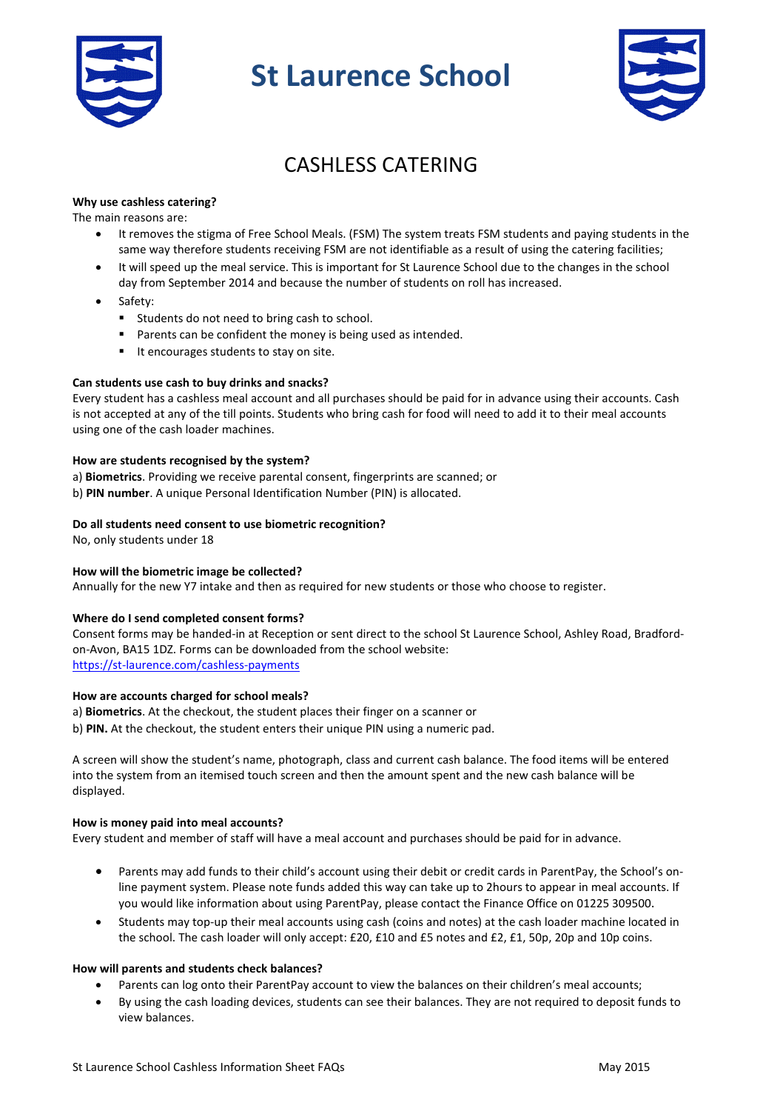

# **St Laurence School**



# CASHLESS CATERING

# **Why use cashless catering?**

The main reasons are:

- It removes the stigma of Free School Meals. (FSM) The system treats FSM students and paying students in the same way therefore students receiving FSM are not identifiable as a result of using the catering facilities;
- It will speed up the meal service. This is important for St Laurence School due to the changes in the school day from September 2014 and because the number of students on roll has increased.
- Safety:
	- **Students do not need to bring cash to school.**
	- **Parents can be confident the money is being used as intended.**
	- It encourages students to stay on site.

# **Can students use cash to buy drinks and snacks?**

Every student has a cashless meal account and all purchases should be paid for in advance using their accounts. Cash is not accepted at any of the till points. Students who bring cash for food will need to add it to their meal accounts using one of the cash loader machines.

### **How are students recognised by the system?**

a) **Biometrics**. Providing we receive parental consent, fingerprints are scanned; or b) **PIN number**. A unique Personal Identification Number (PIN) is allocated.

### **Do all students need consent to use biometric recognition?**

No, only students under 18

# **How will the biometric image be collected?**

Annually for the new Y7 intake and then as required for new students or those who choose to register.

#### **Where do I send completed consent forms?**

Consent forms may be handed-in at Reception or sent direct to the school St Laurence School, Ashley Road, Bradfordon-Avon, BA15 1DZ. Forms can be downloaded from the school website: <https://st-laurence.com/cashless-payments>

### **How are accounts charged for school meals?**

a) **Biometrics**. At the checkout, the student places their finger on a scanner or

b) **PIN.** At the checkout, the student enters their unique PIN using a numeric pad.

A screen will show the student's name, photograph, class and current cash balance. The food items will be entered into the system from an itemised touch screen and then the amount spent and the new cash balance will be displayed.

#### **How is money paid into meal accounts?**

Every student and member of staff will have a meal account and purchases should be paid for in advance.

- Parents may add funds to their child's account using their debit or credit cards in ParentPay, the School's online payment system. Please note funds added this way can take up to 2hours to appear in meal accounts. If you would like information about using ParentPay, please contact the Finance Office on 01225 309500.
- Students may top-up their meal accounts using cash (coins and notes) at the cash loader machine located in the school. The cash loader will only accept: £20, £10 and £5 notes and £2, £1, 50p, 20p and 10p coins.

# **How will parents and students check balances?**

- Parents can log onto their ParentPay account to view the balances on their children's meal accounts;
- By using the cash loading devices, students can see their balances. They are not required to deposit funds to view balances.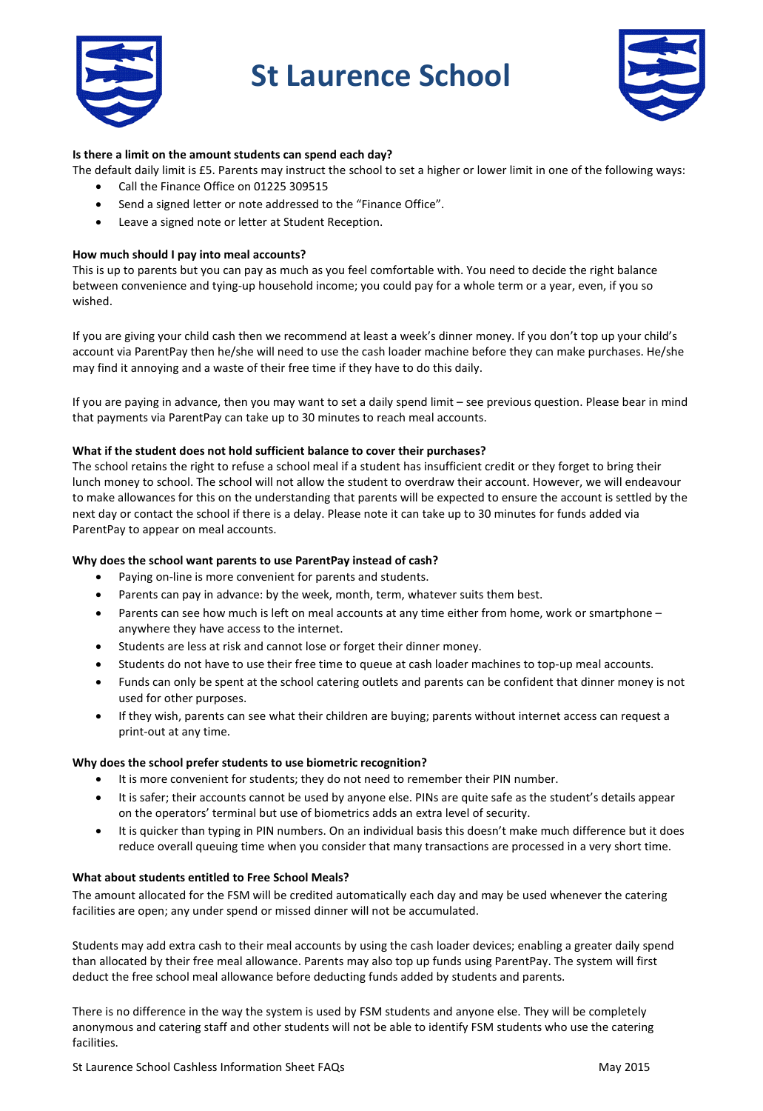

# **St Laurence School**



# **Is there a limit on the amount students can spend each day?**

The default daily limit is £5. Parents may instruct the school to set a higher or lower limit in one of the following ways:

- Call the Finance Office on 01225 309515
- Send a signed letter or note addressed to the "Finance Office".
- Leave a signed note or letter at Student Reception.

# **How much should I pay into meal accounts?**

This is up to parents but you can pay as much as you feel comfortable with. You need to decide the right balance between convenience and tying-up household income; you could pay for a whole term or a year, even, if you so wished.

If you are giving your child cash then we recommend at least a week's dinner money. If you don't top up your child's account via ParentPay then he/she will need to use the cash loader machine before they can make purchases. He/she may find it annoying and a waste of their free time if they have to do this daily.

If you are paying in advance, then you may want to set a daily spend limit – see previous question. Please bear in mind that payments via ParentPay can take up to 30 minutes to reach meal accounts.

# **What if the student does not hold sufficient balance to cover their purchases?**

The school retains the right to refuse a school meal if a student has insufficient credit or they forget to bring their lunch money to school. The school will not allow the student to overdraw their account. However, we will endeavour to make allowances for this on the understanding that parents will be expected to ensure the account is settled by the next day or contact the school if there is a delay. Please note it can take up to 30 minutes for funds added via ParentPay to appear on meal accounts.

# **Why does the school want parents to use ParentPay instead of cash?**

- Paying on-line is more convenient for parents and students.
- Parents can pay in advance: by the week, month, term, whatever suits them best.
- Parents can see how much is left on meal accounts at any time either from home, work or smartphone anywhere they have access to the internet.
- Students are less at risk and cannot lose or forget their dinner money.
- Students do not have to use their free time to queue at cash loader machines to top-up meal accounts.
- Funds can only be spent at the school catering outlets and parents can be confident that dinner money is not used for other purposes.
- If they wish, parents can see what their children are buying; parents without internet access can request a print-out at any time.

# **Why does the school prefer students to use biometric recognition?**

- It is more convenient for students; they do not need to remember their PIN number.
- It is safer; their accounts cannot be used by anyone else. PINs are quite safe as the student's details appear on the operators' terminal but use of biometrics adds an extra level of security.
- It is quicker than typing in PIN numbers. On an individual basis this doesn't make much difference but it does reduce overall queuing time when you consider that many transactions are processed in a very short time.

# **What about students entitled to Free School Meals?**

The amount allocated for the FSM will be credited automatically each day and may be used whenever the catering facilities are open; any under spend or missed dinner will not be accumulated.

Students may add extra cash to their meal accounts by using the cash loader devices; enabling a greater daily spend than allocated by their free meal allowance. Parents may also top up funds using ParentPay. The system will first deduct the free school meal allowance before deducting funds added by students and parents.

There is no difference in the way the system is used by FSM students and anyone else. They will be completely anonymous and catering staff and other students will not be able to identify FSM students who use the catering facilities.